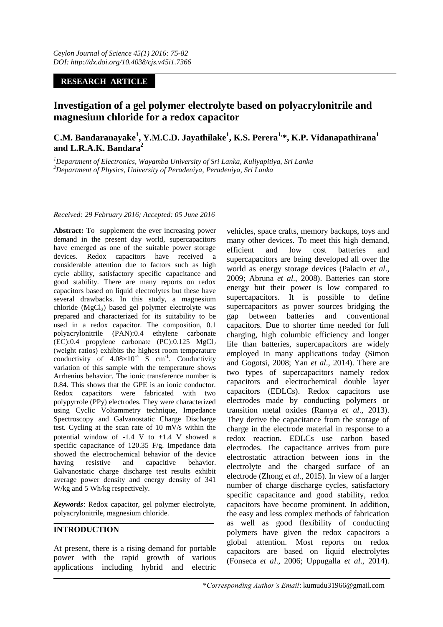# **RESEARCH ARTICLE**

# **Investigation of a gel polymer electrolyte based on polyacrylonitrile and magnesium chloride for a redox capacitor**

# **C.M. Bandaranayake<sup>1</sup> , Y.M.C.D. Jayathilake<sup>1</sup> , K.S. Perera1, \*, K.P. Vidanapathirana<sup>1</sup> and L.R.A.K. Bandara<sup>2</sup>**

*<sup>1</sup>Department of Electronics, Wayamba University of Sri Lanka, Kuliyapitiya, Sri Lanka <sup>2</sup>Department of Physics, University of Peradeniya, Peradeniya, Sri Lanka*

### *Received: 29 February 2016; Accepted: 05 June 2016*

**Abstract:** To supplement the ever increasing power demand in the present day world, supercapacitors have emerged as one of the suitable power storage devices. Redox capacitors have received a considerable attention due to factors such as high cycle ability, satisfactory specific capacitance and good stability. There are many reports on redox capacitors based on liquid electrolytes but these have several drawbacks. In this study, a magnesium chloride  $(MgCl<sub>2</sub>)$  based gel polymer electrolyte was prepared and characterized for its suitability to be used in a redox capacitor. The composition, 0.1 polyacrylonitrile (PAN):0.4 ethylene carbonate  $(EC):0.4$  propylene carbonate  $(PC):0.125$  MgCl<sub>2</sub> (weight ratios) exhibits the highest room temperature conductivity of  $4.08 \times 10^{-4}$  S cm<sup>-1</sup>. Conductivity variation of this sample with the temperature shows Arrhenius behavior. The ionic transference number is 0.84. This shows that the GPE is an ionic conductor. Redox capacitors were fabricated with two polypyrrole (PPy) electrodes. They were characterized using Cyclic Voltammetry technique, Impedance Spectroscopy and Galvanostatic Charge Discharge test. Cycling at the scan rate of 10 mV/s within the potential window of  $-1.4$  V to  $+1.4$  V showed a specific capacitance of 120.35 F/g. Impedance data showed the electrochemical behavior of the device having resistive and capacitive behavior. Galvanostatic charge discharge test results exhibit average power density and energy density of 341 W/kg and 5 Wh/kg respectively.

*Keywords*: Redox capacitor, gel polymer electrolyte, polyacrylonitrile, magnesium chloride.

## **INTRODUCTION**

At present, there is a rising demand for portable power with the rapid growth of various applications including hybrid and electric

vehicles, space crafts, memory backups, toys and many other devices. To meet this high demand, efficient and low cost batteries and supercapacitors are being developed all over the world as energy storage devices (Palacin *et al*., 2009; Abruna *et al*., 2008). Batteries can store energy but their power is low compared to supercapacitors. It is possible to define supercapacitors as power sources bridging the gap between batteries and conventional capacitors. Due to shorter time needed for full charging, high columbic efficiency and longer life than batteries, supercapacitors are widely employed in many applications today (Simon and Gogotsi, 2008; Yan *et al*., 2014). There are two types of supercapacitors namely redox capacitors and electrochemical double layer capacitors (EDLCs). Redox capacitors use electrodes made by conducting polymers or transition metal oxides (Ramya *et al*., 2013). They derive the capacitance from the storage of charge in the electrode material in response to a redox reaction. EDLCs use carbon based electrodes. The capacitance arrives from pure electrostatic attraction between ions in the electrolyte and the charged surface of an electrode (Zhong *et al*., 2015). In view of a larger number of charge discharge cycles, satisfactory specific capacitance and good stability, redox capacitors have become prominent. In addition, the easy and less complex methods of fabrication as well as good flexibility of conducting polymers have given the redox capacitors a global attention. Most reports on redox capacitors are based on liquid electrolytes (Fonseca *et al*., 2006; Uppugalla *et al*., 2014).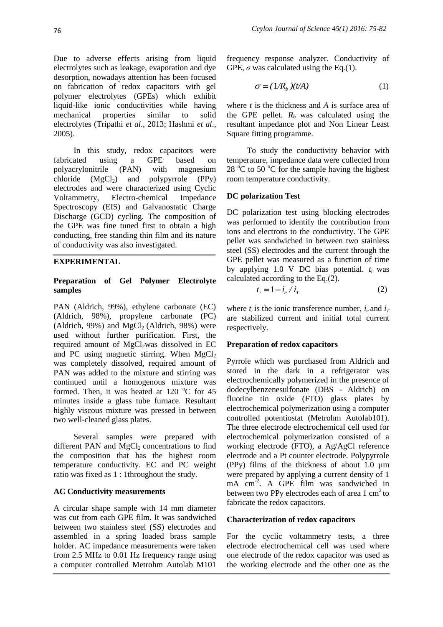Due to adverse effects arising from liquid electrolytes such as leakage, evaporation and dye desorption, nowadays attention has been focused on fabrication of redox capacitors with gel polymer electrolytes (GPEs) which exhibit liquid-like ionic conductivities while having mechanical properties similar to solid electrolytes (Tripathi *et al*., 2013; Hashmi *et al*., 2005).

In this study, redox capacitors were fabricated using a GPE based on polyacrylonitrile (PAN) with magnesium chloride  $(MgCl<sub>2</sub>)$  and polypyrrole (PPy) electrodes and were characterized using Cyclic Voltammetry, Electro-chemical Impedance Spectroscopy (EIS) and Galvanostatic Charge Discharge (GCD) cycling. The composition of the GPE was fine tuned first to obtain a high conducting, free standing thin film and its nature of conductivity was also investigated.

## **EXPERIMENTAL**

## **Preparation of Gel Polymer Electrolyte samples**

PAN (Aldrich, 99%), ethylene carbonate (EC) (Aldrich, 98%), propylene carbonate (PC) (Aldrich, 99%) and MgCl<sub>2</sub> (Aldrich, 98%) were used without further purification. First, the required amount of MgCl<sub>2</sub>was dissolved in EC and PC using magnetic stirring. When  $MgCl<sub>2</sub>$ was completely dissolved, required amount of PAN was added to the mixture and stirring was continued until a homogenous mixture was formed. Then, it was heated at 120  $^{\circ}$ C for 45 minutes inside a glass tube furnace. Resultant highly viscous mixture was pressed in between two well-cleaned glass plates.

Several samples were prepared with different PAN and  $MgCl<sub>2</sub>$  concentrations to find the composition that has the highest room temperature conductivity. EC and PC weight ratio was fixed as 1 : 1throughout the study.

### **AC Conductivity measurements**

A circular shape sample with 14 mm diameter was cut from each GPE film. It was sandwiched between two stainless steel (SS) electrodes and assembled in a spring loaded brass sample holder. AC impedance measurements were taken from 2.5 MHz to 0.01 Hz frequency range using a computer controlled Metrohm Autolab M101

frequency response analyzer. Conductivity of GPE,  $\sigma$  was calculated using the Eq.(1).

$$
\sigma = (1/R_b)(t/A) \tag{1}
$$

where *t* is the thickness and *A* is surface area of the GPE pellet.  $R_b$  was calculated using the resultant impedance plot and Non Linear Least Square fitting programme.

To study the conductivity behavior with temperature, impedance data were collected from 28  $\degree$ C to 50  $\degree$ C for the sample having the highest room temperature conductivity.

### **DC polarization Test**

DC polarization test using blocking electrodes was performed to identify the contribution from ions and electrons to the conductivity. The GPE pellet was sandwiched in between two stainless steel (SS) electrodes and the current through the GPE pellet was measured as a function of time by applying 1.0 V DC bias potential. *ti* was calculated according to the Eq.(2).

$$
t_i = 1 - i_e / i_T \tag{2}
$$

where  $t_i$  is the ionic transference number,  $i_e$  and  $i_T$ are stabilized current and initial total current respectively.

### **Preparation of redox capacitors**

Pyrrole which was purchased from Aldrich and stored in the dark in a refrigerator was electrochemically polymerized in the presence of dodecylbenzenesulfonate (DBS - Aldrich) on fluorine tin oxide (FTO) glass plates by electrochemical polymerization using a computer controlled potentiostat (Metrohm Autolab101). The three electrode electrochemical cell used for electrochemical polymerization consisted of a working electrode (FTO), a Ag/AgCl reference electrode and a Pt counter electrode. Polypyrrole (PPy) films of the thickness of about 1.0 µm were prepared by applying a current density of 1 mA cm<sup>-2</sup>. A GPE film was sandwiched in between two PPy electrodes each of area  $1 \text{ cm}^2$  to fabricate the redox capacitors.

### **Characterization of redox capacitors**

For the cyclic voltammetry tests, a three electrode electrochemical cell was used where one electrode of the redox capacitor was used as the working electrode and the other one as the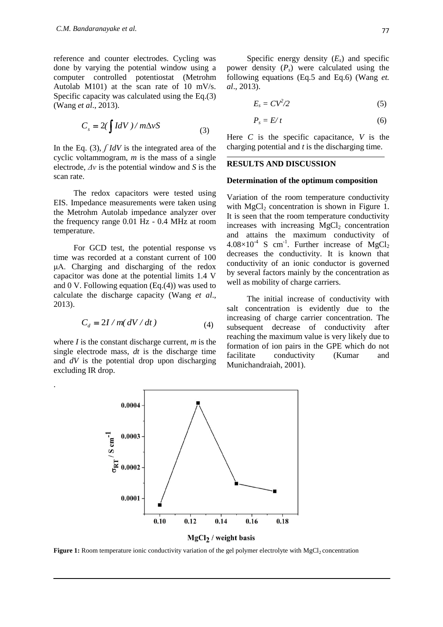reference and counter electrodes. Cycling was done by varying the potential window using a computer controlled potentiostat (Metrohm Autolab M101) at the scan rate of 10 mV/s. Specific capacity was calculated using the Eq.(3) (Wang *et al*., 2013).

$$
C_s = 2(\int IdV) / m\Delta vS
$$
 (3)

In the Eq. (3), *<i>IdV* is the integrated area of the cyclic voltammogram, *m* is the mass of a single electrode, *Δv* is the potential window and *S* is the scan rate.

The redox capacitors were tested using EIS. Impedance measurements were taken using the Metrohm Autolab impedance analyzer over the frequency range 0.01 Hz - 0.4 MHz at room temperature.

For GCD test, the potential response vs time was recorded at a constant current of 100 μA. Charging and discharging of the redox capacitor was done at the potential limits 1.4 V and 0 V. Following equation (Eq.(4)) was used to calculate the discharge capacity (Wang *et al*., 2013).

$$
C_d = 2I / m(dV/dt)
$$
 (4)

where *I* is the constant discharge current, *m* is the single electrode mass, *dt* is the discharge time and *dV* is the potential drop upon discharging excluding IR drop.

.

Specific energy density  $(E_s)$  and specific power density (*Ps*) were calculated using the following equations (Eq.5 and Eq.6) (Wang *et. al*., 2013).

$$
E_s = CV^2/2 \tag{5}
$$

$$
P_s = E/t \tag{6}
$$

Here *C* is the specific capacitance, *V* is the charging potential and *t* is the discharging time.

### **RESULTS AND DISCUSSION**

#### **Determination of the optimum composition**

Variation of the room temperature conductivity with  $MgCl<sub>2</sub>$  concentration is shown in Figure 1. It is seen that the room temperature conductivity increases with increasing  $MgCl<sub>2</sub>$  concentration and attains the maximum conductivity of  $4.08\times10^{-4}$  S cm<sup>-1</sup>. Further increase of MgCl<sub>2</sub> decreases the conductivity. It is known that conductivity of an ionic conductor is governed by several factors mainly by the concentration as well as mobility of charge carriers.

The initial increase of conductivity with salt concentration is evidently due to the increasing of charge carrier concentration. The subsequent decrease of conductivity after reaching the maximum value is very likely due to formation of ion pairs in the GPE which do not facilitate conductivity (Kumar and Munichandraiah, 2001).



**Figure 1:** Room temperature ionic conductivity variation of the gel polymer electrolyte with MgCl<sub>2</sub> concentration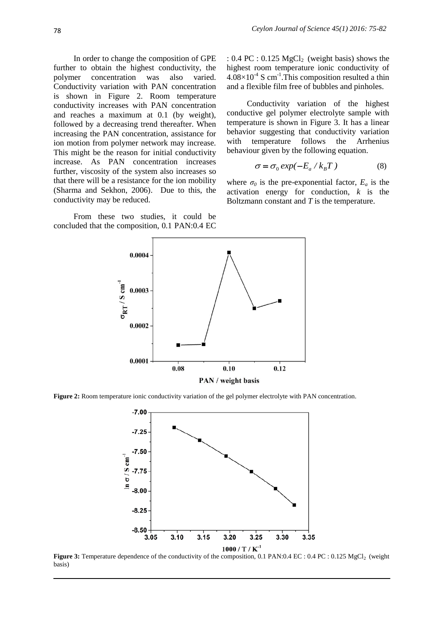In order to change the composition of GPE further to obtain the highest conductivity, the polymer concentration was also varied. Conductivity variation with PAN concentration is shown in Figure 2. Room temperature conductivity increases with PAN concentration and reaches a maximum at 0.1 (by weight), followed by a decreasing trend thereafter. When increasing the PAN concentration, assistance for ion motion from polymer network may increase. This might be the reason for initial conductivity increase. As PAN concentration increases further, viscosity of the system also increases so that there will be a resistance for the ion mobility (Sharma and Sekhon, 2006). Due to this, the conductivity may be reduced.

From these two studies, it could be concluded that the composition, 0.1 PAN:0.4 EC :  $0.4 \text{ PC}$  :  $0.125 \text{ MgCl}_2$  (weight basis) shows the highest room temperature ionic conductivity of  $4.08\times10^{-4}$  S cm<sup>-1</sup>. This composition resulted a thin and a flexible film free of bubbles and pinholes.

Conductivity variation of the highest conductive gel polymer electrolyte sample with temperature is shown in Figure 3. It has a linear behavior suggesting that conductivity variation with temperature follows the Arrhenius behaviour given by the following equation.

$$
\sigma = \sigma_0 \exp(-E_a / k_B T) \tag{8}
$$

where  $\sigma_0$  is the pre-exponential factor,  $E_a$  is the activation energy for conduction, *k* is the Boltzmann constant and *T* is the temperature.



**Figure 2:** Room temperature ionic conductivity variation of the gel polymer electrolyte with PAN concentration.



**Figure 3:** Temperature dependence of the conductivity of the composition, 0.1 PAN:0.4 EC : 0.4 PC : 0.125 MgCl<sub>2</sub> (weight basis)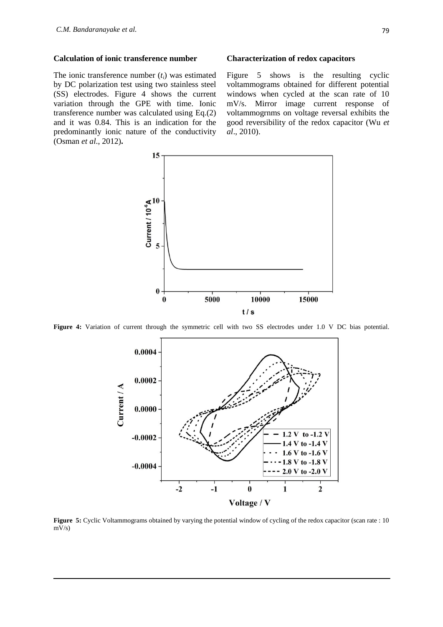#### **Calculation of ionic transference number**

The ionic transference number (*ti*) was estimated by DC polarization test using two stainless steel (SS) electrodes. Figure 4 shows the current variation through the GPE with time. Ionic transference number was calculated using Eq.(2) and it was 0.84. This is an indication for the predominantly ionic nature of the conductivity (Osman *et al*., 2012)**.** 

#### **Characterization of redox capacitors**

Figure 5 shows is the resulting cyclic voltammograms obtained for different potential windows when cycled at the scan rate of 10 mV/s. Mirror image current response of voltammogrnms on voltage reversal exhibits the good reversibility of the redox capacitor (Wu *et al*., 2010).



Figure 4: Variation of current through the symmetric cell with two SS electrodes under 1.0 V DC bias potential.



**Figure 5:** Cyclic Voltammograms obtained by varying the potential window of cycling of the redox capacitor (scan rate : 10  $mV/s$ )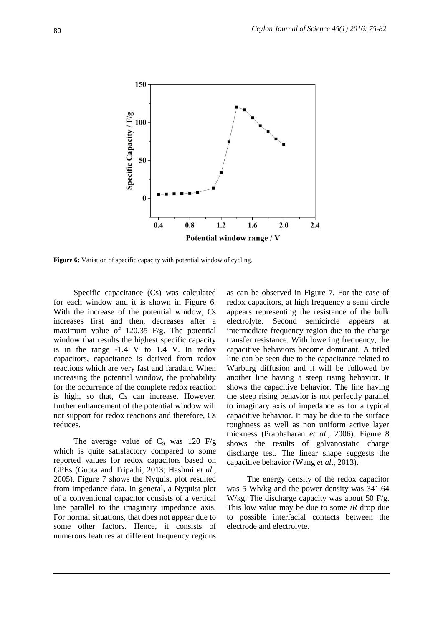

**Figure 6:** Variation of specific capacity with potential window of cycling.

Specific capacitance (Cs) was calculated for each window and it is shown in Figure 6. With the increase of the potential window, Cs increases first and then, decreases after a maximum value of 120.35 F/g. The potential window that results the highest specific capacity is in the range -1.4 V to 1.4 V. In redox capacitors, capacitance is derived from redox reactions which are very fast and faradaic. When increasing the potential window, the probability for the occurrence of the complete redox reaction is high, so that, Cs can increase. However, further enhancement of the potential window will not support for redox reactions and therefore, Cs reduces.

The average value of  $C_s$  was 120 F/g which is quite satisfactory compared to some reported values for redox capacitors based on GPEs (Gupta and Tripathi, 2013; Hashmi *et al*., 2005). Figure 7 shows the Nyquist plot resulted from impedance data. In general, a Nyquist plot of a conventional capacitor consists of a vertical line parallel to the imaginary impedance axis. For normal situations, that does not appear due to some other factors. Hence, it consists of numerous features at different frequency regions

as can be observed in Figure 7. For the case of redox capacitors, at high frequency a semi circle appears representing the resistance of the bulk electrolyte. Second semicircle appears at intermediate frequency region due to the charge transfer resistance. With lowering frequency, the capacitive behaviors become dominant. A titled line can be seen due to the capacitance related to Warburg diffusion and it will be followed by another line having a steep rising behavior. It shows the capacitive behavior. The line having the steep rising behavior is not perfectly parallel to imaginary axis of impedance as for a typical capacitive behavior. It may be due to the surface roughness as well as non uniform active layer thickness (Prabhaharan *et al*., 2006). Figure 8 shows the results of galvanostatic charge discharge test. The linear shape suggests the capacitive behavior (Wang *et al*., 2013).

The energy density of the redox capacitor was 5 Wh/kg and the power density was 341.64 W/kg. The discharge capacity was about 50 F/g. This low value may be due to some *iR* drop due to possible interfacial contacts between the electrode and electrolyte.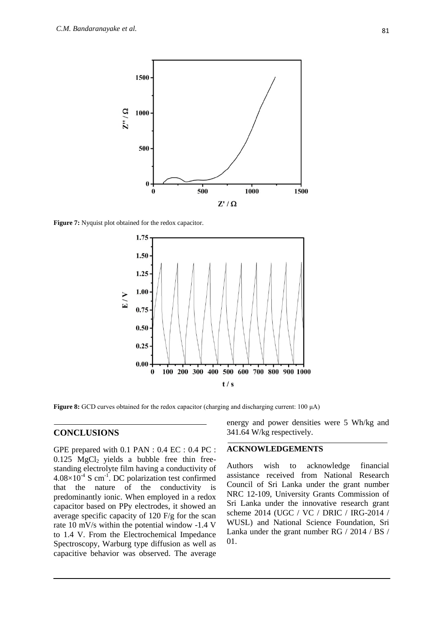

**Figure 7:** Nyquist plot obtained for the redox capacitor.



**Figure 8:** GCD curves obtained for the redox capacitor (charging and discharging current: 100 μA)

## **CONCLUSIONS**

GPE prepared with 0.1 PAN : 0.4 EC : 0.4 PC :  $0.125$  MgCl<sub>2</sub> yields a bubble free thin freestanding electrolyte film having a conductivity of  $4.08\times10^{-4}$  S cm<sup>-1</sup>. DC polarization test confirmed that the nature of the conductivity is predominantly ionic. When employed in a redox capacitor based on PPy electrodes, it showed an average specific capacity of 120 F/g for the scan rate 10 mV/s within the potential window -1.4 V to 1.4 V. From the Electrochemical Impedance Spectroscopy, Warburg type diffusion as well as capacitive behavior was observed. The average

energy and power densities were 5 Wh/kg and 341.64 W/kg respectively.

#### **ACKNOWLEDGEMENTS**

Authors wish to acknowledge financial assistance received from National Research Council of Sri Lanka under the grant number NRC 12-109, University Grants Commission of Sri Lanka under the innovative research grant scheme 2014 (UGC / VC / DRIC / IRG-2014 / WUSL) and National Science Foundation, Sri Lanka under the grant number RG / 2014 / BS / 01.